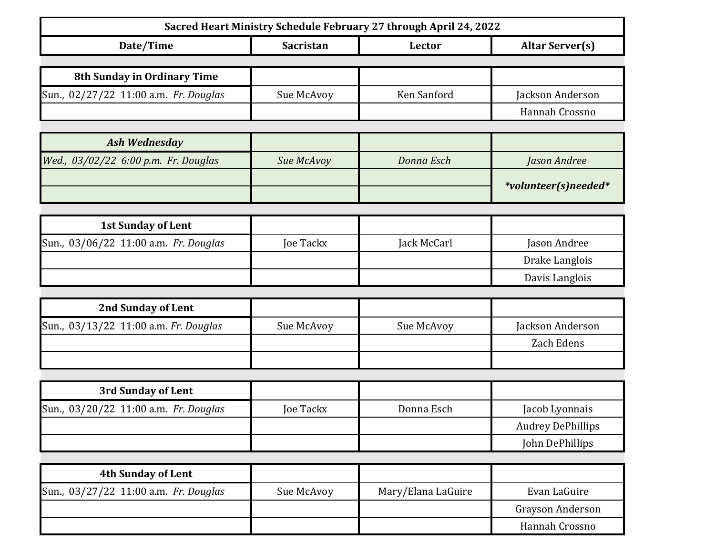| Sacred Heart Ministry Schedule February 27 through April 24, 2022 |                  |                    |                          |  |
|-------------------------------------------------------------------|------------------|--------------------|--------------------------|--|
| Date/Time                                                         | <b>Sacristan</b> | Lector             | <b>Altar Server(s)</b>   |  |
|                                                                   |                  |                    |                          |  |
| 8th Sunday in Ordinary Time                                       |                  |                    |                          |  |
| Sun., 02/27/22 11:00 a.m. Fr. Douglas                             | Sue McAvoy       | Ken Sanford        | Jackson Anderson         |  |
|                                                                   |                  |                    | Hannah Crossno           |  |
| <b>Ash Wednesday</b>                                              |                  |                    |                          |  |
| Wed., 03/02/22 6:00 p.m. Fr. Douglas                              | Sue McAvoy       | Donna Esch         | Jason Andree             |  |
|                                                                   |                  |                    | *volunteer(s)needed*     |  |
|                                                                   |                  |                    |                          |  |
| <b>1st Sunday of Lent</b>                                         |                  |                    |                          |  |
| Sun., 03/06/22 11:00 a.m. Fr. Douglas                             | Joe Tackx        | Jack McCarl        | Jason Andree             |  |
|                                                                   |                  |                    | Drake Langlois           |  |
|                                                                   |                  |                    | Davis Langlois           |  |
|                                                                   |                  |                    |                          |  |
| <b>2nd Sunday of Lent</b>                                         |                  |                    |                          |  |
| Sun., 03/13/22 11:00 a.m. Fr. Douglas                             | Sue McAvoy       | Sue McAvoy         | Jackson Anderson         |  |
|                                                                   |                  |                    | Zach Edens               |  |
|                                                                   |                  |                    |                          |  |
| 3rd Sunday of Lent                                                |                  |                    |                          |  |
| Sun., 03/20/22 11:00 a.m. Fr. Douglas                             | <b>Joe Tackx</b> | Donna Esch         | Jacob Lyonnais           |  |
|                                                                   |                  |                    | <b>Audrey DePhillips</b> |  |
|                                                                   |                  |                    | John DePhillips          |  |
|                                                                   |                  |                    |                          |  |
| <b>4th Sunday of Lent</b>                                         |                  |                    |                          |  |
| Sun., 03/27/22 11:00 a.m. Fr. Douglas                             | Sue McAvoy       | Mary/Elana LaGuire | Evan LaGuire             |  |
|                                                                   |                  |                    | Grayson Anderson         |  |
|                                                                   |                  |                    | Hannah Crossno           |  |